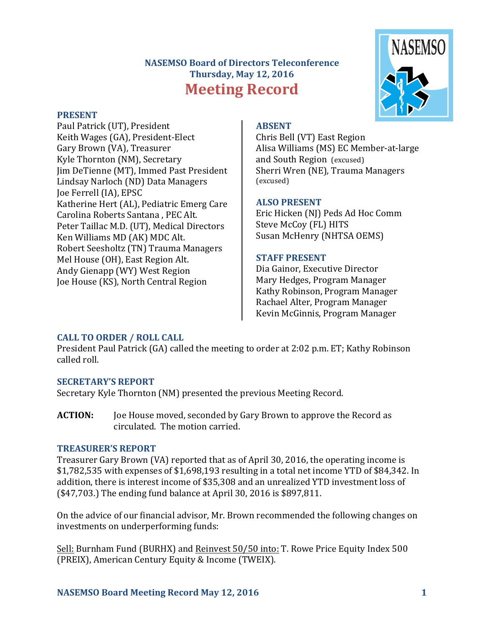# **NASEMSO Board of Directors Teleconference Thursday, May 12, 2016 Meeting Record**



Paul Patrick (UT), President Keith Wages (GA), President-Elect Gary Brown (VA), Treasurer Kyle Thornton (NM), Secretary Iim DeTienne (MT), Immed Past President Lindsay Narloch (ND) Data Managers Joe Ferrell (IA), EPSC Katherine Hert (AL), Pediatric Emerg Care Carolina Roberts Santana, PEC Alt. Peter Taillac M.D. (UT), Medical Directors Ken Williams MD (AK) MDC Alt. Robert Seesholtz (TN) Trauma Managers Mel House (OH), East Region Alt. Andy Gienapp (WY) West Region Joe House (KS), North Central Region

# **ABSENT**

Chris Bell (VT) East Region Alisa Williams (MS) EC Member-at-large and South Region (excused) Sherri Wren (NE), Trauma Managers (excused)

# **ALSO PRESENT**

Eric Hicken (NJ) Peds Ad Hoc Comm Steve McCoy (FL) HITS Susan McHenry (NHTSA OEMS)

# **STAFF PRESENT**

Dia Gainor, Executive Director Mary Hedges, Program Manager Kathy Robinson, Program Manager Rachael Alter, Program Manager Kevin McGinnis, Program Manager

# **CALL TO ORDER / ROLL CALL**

President Paul Patrick (GA) called the meeting to order at 2:02 p.m. ET; Kathy Robinson called roll.

# **SECRETARY'S REPORT**

Secretary Kyle Thornton (NM) presented the previous Meeting Record.

**ACTION:** Joe House moved, seconded by Gary Brown to approve the Record as circulated. The motion carried.

# **TREASURER'S REPORT**

Treasurer Gary Brown (VA) reported that as of April 30, 2016, the operating income is  $$1,782,535$  with expenses of  $$1,698,193$  resulting in a total net income YTD of  $$84,342$ . In addition, there is interest income of \$35,308 and an unrealized YTD investment loss of  $(S47,703.)$  The ending fund balance at April 30, 2016 is \$897,811.

On the advice of our financial advisor, Mr. Brown recommended the following changes on investments on underperforming funds:

Sell: Burnham Fund (BURHX) and Reinvest 50/50 into: T. Rowe Price Equity Index 500 (PREIX), American Century Equity & Income (TWEIX).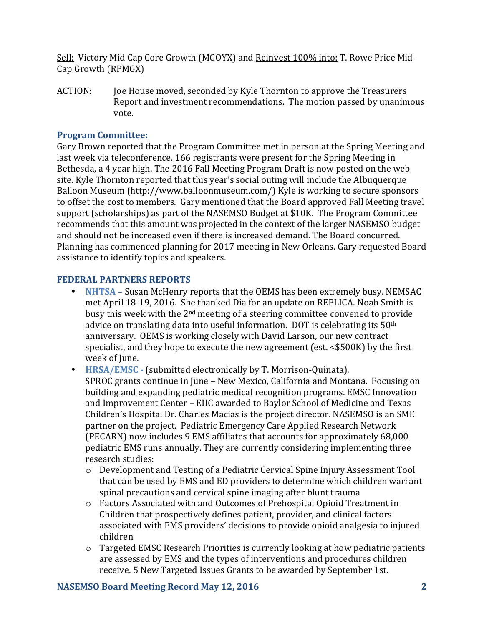Sell: Victory Mid Cap Core Growth (MGOYX) and Reinvest 100% into: T. Rowe Price Mid-Cap Growth (RPMGX)

ACTION: Joe House moved, seconded by Kyle Thornton to approve the Treasurers Report and investment recommendations. The motion passed by unanimous vote.

### **Program Committee:**

Gary Brown reported that the Program Committee met in person at the Spring Meeting and last week via teleconference. 166 registrants were present for the Spring Meeting in Bethesda, a 4 year high. The 2016 Fall Meeting Program Draft is now posted on the web site. Kyle Thornton reported that this year's social outing will include the Albuquerque Balloon Museum (http://www.balloonmuseum.com/) Kyle is working to secure sponsors to offset the cost to members. Gary mentioned that the Board approved Fall Meeting travel support (scholarships) as part of the NASEMSO Budget at \$10K. The Program Committee recommends that this amount was projected in the context of the larger NASEMSO budget and should not be increased even if there is increased demand. The Board concurred. Planning has commenced planning for 2017 meeting in New Orleans. Gary requested Board assistance to identify topics and speakers.

#### **FEDERAL PARTNERS REPORTS**

- NHTSA Susan McHenry reports that the OEMS has been extremely busy. NEMSAC met April 18-19, 2016. She thanked Dia for an update on REPLICA. Noah Smith is busy this week with the  $2<sup>nd</sup>$  meeting of a steering committee convened to provide advice on translating data into useful information. DOT is celebrating its  $50<sup>th</sup>$ anniversary. OEMS is working closely with David Larson, our new contract specialist, and they hope to execute the new agreement (est.  $< $500K$ ) by the first week of June.
- **HRSA/EMSC** (submitted electronically by T. Morrison-Ouinata). SPROC grants continue in June – New Mexico, California and Montana. Focusing on building and expanding pediatric medical recognition programs. EMSC Innovation and Improvement Center - EIIC awarded to Baylor School of Medicine and Texas Children's Hospital Dr. Charles Macias is the project director. NASEMSO is an SME partner on the project. Pediatric Emergency Care Applied Research Network (PECARN) now includes 9 EMS affiliates that accounts for approximately 68,000 pediatric EMS runs annually. They are currently considering implementing three research studies:
	- $\circ$  Development and Testing of a Pediatric Cervical Spine Injury Assessment Tool that can be used by EMS and ED providers to determine which children warrant spinal precautions and cervical spine imaging after blunt trauma
	- o Factors Associated with and Outcomes of Prehospital Opioid Treatment in Children that prospectively defines patient, provider, and clinical factors associated with EMS providers' decisions to provide opioid analgesia to injured children
	- $\circ$  Targeted EMSC Research Priorities is currently looking at how pediatric patients are assessed by EMS and the types of interventions and procedures children receive. 5 New Targeted Issues Grants to be awarded by September 1st.

#### **NASEMSO Board Meeting Record May 12, 2016 2**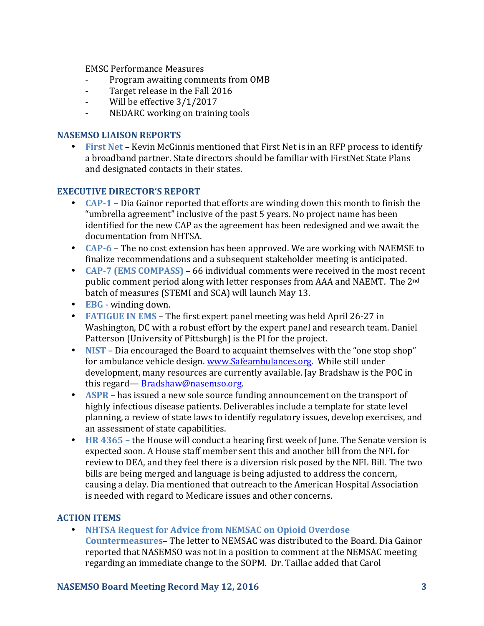EMSC Performance Measures

- Program awaiting comments from OMB
- Target release in the Fall 2016
- Will be effective  $3/1/2017$
- NEDARC working on training tools

#### **NASEMSO LIAISON REPORTS**

• First Net – Kevin McGinnis mentioned that First Net is in an RFP process to identify a broadband partner. State directors should be familiar with FirstNet State Plans and designated contacts in their states.

#### **EXECUTIVE DIRECTOR'S REPORT**

- **CAP-1** Dia Gainor reported that efforts are winding down this month to finish the "umbrella agreement" inclusive of the past 5 years. No project name has been identified for the new CAP as the agreement has been redesigned and we await the documentation from NHTSA.
- **CAP-6** The no cost extension has been approved. We are working with NAEMSE to finalize recommendations and a subsequent stakeholder meeting is anticipated.
- **CAP-7 (EMS COMPASS)** 66 individual comments were received in the most recent public comment period along with letter responses from AAA and NAEMT. The 2<sup>nd</sup> batch of measures (STEMI and SCA) will launch May 13.
- **EBG** winding down.
- **FATIGUE IN EMS** The first expert panel meeting was held April 26-27 in Washington, DC with a robust effort by the expert panel and research team. Daniel Patterson (University of Pittsburgh) is the PI for the project.
- **NIST** Dia encouraged the Board to acquaint themselves with the "one stop shop" for ambulance vehicle design. www.Safeambulances.org. While still under development, many resources are currently available. Jay Bradshaw is the POC in this regard— [Bradshaw@nasemso.org.](mailto:Bradshaw@nasemso.org)
- **ASPR** has issued a new sole source funding announcement on the transport of highly infectious disease patients. Deliverables include a template for state level planning, a review of state laws to identify regulatory issues, develop exercises, and an assessment of state capabilities.
- **HR** 4365 the House will conduct a hearing first week of June. The Senate version is expected soon. A House staff member sent this and another bill from the NFL for review to DEA, and they feel there is a diversion risk posed by the NFL Bill. The two bills are being merged and language is being adjusted to address the concern, causing a delay. Dia mentioned that outreach to the American Hospital Association is needed with regard to Medicare issues and other concerns.

#### **ACTION ITEMS**

• **NHTSA Request for Advice from NEMSAC on Opioid Overdose Countermeasures-** The letter to NEMSAC was distributed to the Board. Dia Gainor reported that NASEMSO was not in a position to comment at the NEMSAC meeting regarding an immediate change to the SOPM. Dr. Taillac added that Carol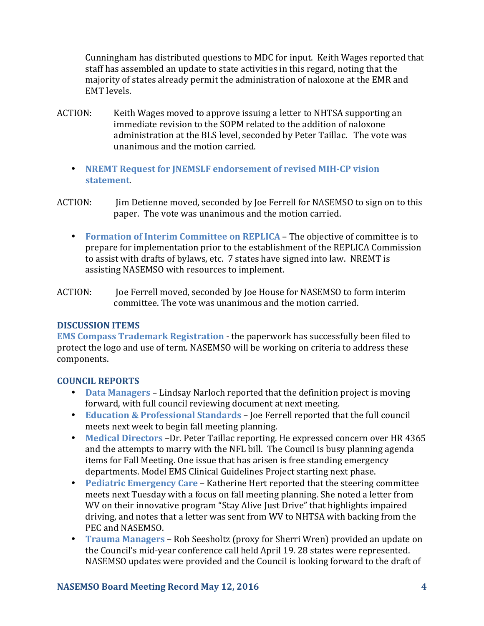Cunningham has distributed questions to MDC for input. Keith Wages reported that staff has assembled an update to state activities in this regard, noting that the majority of states already permit the administration of naloxone at the EMR and EMT levels.

- ACTION: Keith Wages moved to approve issuing a letter to NHTSA supporting an immediate revision to the SOPM related to the addition of naloxone administration at the BLS level, seconded by Peter Taillac. The vote was unanimous and the motion carried.
	- **NREMT Request for JNEMSLF endorsement of revised MIH-CP vision statement**.
- ACTION: Jim Detienne moved, seconded by Joe Ferrell for NASEMSO to sign on to this paper. The vote was unanimous and the motion carried.
	- **Formation of Interim Committee on REPLICA** The objective of committee is to prepare for implementation prior to the establishment of the REPLICA Commission to assist with drafts of bylaws, etc. 7 states have signed into law. NREMT is assisting NASEMSO with resources to implement.
- ACTION: Joe Ferrell moved, seconded by Joe House for NASEMSO to form interim committee. The vote was unanimous and the motion carried.

#### **DISCUSSION ITEMS**

**EMS Compass Trademark Registration - the paperwork has successfully been filed to** protect the logo and use of term. NASEMSO will be working on criteria to address these components.

#### **COUNCIL REPORTS**

- **Data Managers** Lindsay Narloch reported that the definition project is moving forward, with full council reviewing document at next meeting.
- **Education & Professional Standards** Joe Ferrell reported that the full council meets next week to begin fall meeting planning.
- Medical Directors -Dr. Peter Taillac reporting. He expressed concern over HR 4365 and the attempts to marry with the NFL bill. The Council is busy planning agenda items for Fall Meeting. One issue that has arisen is free standing emergency departments. Model EMS Clinical Guidelines Project starting next phase.
- **Pediatric Emergency Care** Katherine Hert reported that the steering committee meets next Tuesday with a focus on fall meeting planning. She noted a letter from WV on their innovative program "Stay Alive Just Drive" that highlights impaired driving, and notes that a letter was sent from WV to NHTSA with backing from the PEC and NASEMSO.
- **Trauma Managers** Rob Seesholtz (proxy for Sherri Wren) provided an update on the Council's mid-year conference call held April 19. 28 states were represented. NASEMSO updates were provided and the Council is looking forward to the draft of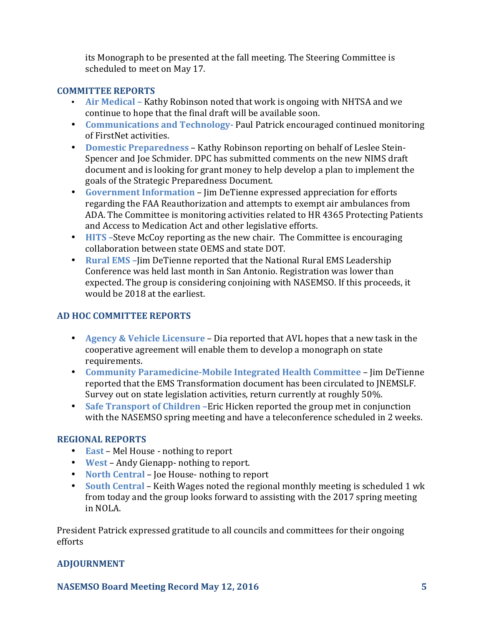its Monograph to be presented at the fall meeting. The Steering Committee is scheduled to meet on May 17.

#### **COMMITTEE REPORTS**

- **Air Medical** Kathy Robinson noted that work is ongoing with NHTSA and we continue to hope that the final draft will be available soon.
- **Communications and Technology-** Paul Patrick encouraged continued monitoring of FirstNet activities.
- Domestic Preparedness Kathy Robinson reporting on behalf of Leslee Stein-Spencer and Joe Schmider. DPC has submitted comments on the new NIMS draft document and is looking for grant money to help develop a plan to implement the goals of the Strategic Preparedness Document.
- Government Information Jim DeTienne expressed appreciation for efforts regarding the FAA Reauthorization and attempts to exempt air ambulances from ADA. The Committee is monitoring activities related to HR 4365 Protecting Patients and Access to Medication Act and other legislative efforts.
- **HITS** –Steve McCoy reporting as the new chair. The Committee is encouraging collaboration between state OEMS and state DOT.
- **Rural EMS** Jim DeTienne reported that the National Rural EMS Leadership Conference was held last month in San Antonio. Registration was lower than expected. The group is considering conjoining with NASEMSO. If this proceeds, it would be 2018 at the earliest.

# **AD HOC COMMITTEE REPORTS**

- **Agency & Vehicle Licensure** Dia reported that AVL hopes that a new task in the cooperative agreement will enable them to develop a monograph on state requirements.
- **Community Paramedicine-Mobile Integrated Health Committee Jim DeTienne** reported that the EMS Transformation document has been circulated to JNEMSLF. Survey out on state legislation activities, return currently at roughly 50%.
- Safe Transport of Children -Eric Hicken reported the group met in conjunction with the NASEMSO spring meeting and have a teleconference scheduled in 2 weeks.

# **REGIONAL REPORTS**

- **East** Mel House nothing to report
- **West** Andy Gienapp- nothing to report.
- **North Central** Joe House- nothing to report
- **South Central** Keith Wages noted the regional monthly meeting is scheduled 1 wk from today and the group looks forward to assisting with the 2017 spring meeting in NOLA.

President Patrick expressed gratitude to all councils and committees for their ongoing efforts

# **ADJOURNMENT**

NASEMSO Board Meeting Record May 12, 2016 **5**